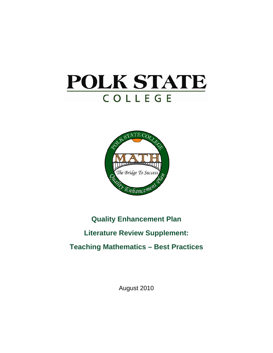# **POLK STATE** COLLEGE



## **Quality Enhancement Plan**

### **Literature Review Supplement:**

## **Teaching Mathematics – Best Practices**

August 2010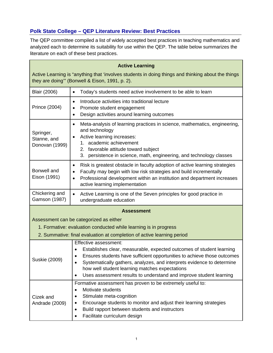#### **Polk State College – QEP Literature Review: Best Practices**

 $\blacksquare$ 

The QEP committee compiled a list of widely accepted best practices in teaching mathematics and analyzed each to determine its suitability for use within the QEP. The table below summarizes the literature on each of these best practices.

| <b>Active Learning</b>                                                                                                                               |                                                                                                                                                                                                                                                                                                                                                                                                       |
|------------------------------------------------------------------------------------------------------------------------------------------------------|-------------------------------------------------------------------------------------------------------------------------------------------------------------------------------------------------------------------------------------------------------------------------------------------------------------------------------------------------------------------------------------------------------|
| Active Learning is "anything that 'involves students in doing things and thinking about the things<br>they are doing" (Bonwell & Eison, 1991, p. 2). |                                                                                                                                                                                                                                                                                                                                                                                                       |
| <b>Blair (2006)</b>                                                                                                                                  | Today's students need active involvement to be able to learn<br>$\bullet$                                                                                                                                                                                                                                                                                                                             |
| Prince (2004)                                                                                                                                        | Introduce activities into traditional lecture<br>$\bullet$<br>Promote student engagement<br>٠<br>Design activities around learning outcomes<br>$\bullet$                                                                                                                                                                                                                                              |
| Springer,<br>Stanne, and<br>Donovan (1999)                                                                                                           | Meta-analysis of learning practices in science, mathematics, engineering,<br>$\bullet$<br>and technology<br>Active learning increases:<br>$\bullet$<br>1. academic achievement<br>2. favorable attitude toward subject<br>3. persistence in science, math, engineering, and technology classes                                                                                                        |
| Bonwell and<br>Eison (1991)                                                                                                                          | Risk is greatest obstacle in faculty adoption of active learning strategies<br>$\bullet$<br>Faculty may begin with low risk strategies and build incrementally<br>$\bullet$<br>Professional development within an institution and department increases<br>$\bullet$<br>active learning implementation                                                                                                 |
| Chickering and<br>Gamson (1987)                                                                                                                      | Active Learning is one of the Seven principles for good practice in<br>$\bullet$<br>undergraduate education                                                                                                                                                                                                                                                                                           |
|                                                                                                                                                      | <b>Assessment</b>                                                                                                                                                                                                                                                                                                                                                                                     |
|                                                                                                                                                      | Assessment can be categorized as either                                                                                                                                                                                                                                                                                                                                                               |
|                                                                                                                                                      | 1. Formative: evaluation conducted while learning is in progress                                                                                                                                                                                                                                                                                                                                      |
|                                                                                                                                                      | 2. Summative: final evaluation at completion of active learning period                                                                                                                                                                                                                                                                                                                                |
| <b>Suskie (2009)</b>                                                                                                                                 | Effective assessment:<br>Establishes clear, measurable, expected outcomes of student learning<br>Ensures students have sufficient opportunities to achieve those outcomes<br>$\bullet$<br>Systematically gathers, analyzes, and interprets evidence to determine<br>how well student learning matches expectations<br>Uses assessment results to understand and improve student learning<br>$\bullet$ |
| Cizek and<br>Andrade (2009)                                                                                                                          | Formative assessment has proven to be extremely useful to:<br>Motivate students<br>٠<br>Stimulate meta-cognition<br>٠<br>Encourage students to monitor and adjust their learning strategies<br>٠<br>Build rapport between students and instructors<br>٠<br>Facilitate curriculum design                                                                                                               |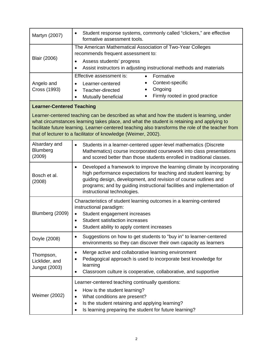| Martyn (2007)                                                                                                                                                                                                                                                                                                                                                   | Student response systems, commonly called "clickers," are effective<br>٠<br>formative assessment tools.                                                                                                                                                                                                                          |
|-----------------------------------------------------------------------------------------------------------------------------------------------------------------------------------------------------------------------------------------------------------------------------------------------------------------------------------------------------------------|----------------------------------------------------------------------------------------------------------------------------------------------------------------------------------------------------------------------------------------------------------------------------------------------------------------------------------|
| <b>Blair (2006)</b>                                                                                                                                                                                                                                                                                                                                             | The American Mathematical Association of Two-Year Colleges<br>recommends frequent assessment to:<br>Assess students' progress<br>٠<br>Assist instructors in adjusting instructional methods and materials<br>$\bullet$                                                                                                           |
| Angelo and<br>Cross (1993)                                                                                                                                                                                                                                                                                                                                      | Effective assessment is:<br>Formative<br>$\bullet$<br>Context-specific<br>Learner-centered<br>$\bullet$<br>Ongoing<br>Teacher-directed<br>$\bullet$<br>Firmly rooted in good practice<br>Mutually beneficial<br>$\bullet$                                                                                                        |
| <b>Learner-Centered Teaching</b>                                                                                                                                                                                                                                                                                                                                |                                                                                                                                                                                                                                                                                                                                  |
| Learner-centered teaching can be described as what and how the student is learning, under<br>what circumstances learning takes place, and what the student is retaining and applying to<br>facilitate future learning. Learner-centered teaching also transforms the role of the teacher from<br>that of lecturer to a facilitator of knowledge (Weimer, 2002). |                                                                                                                                                                                                                                                                                                                                  |
| Alsardary and<br>Blumberg<br>(2009)                                                                                                                                                                                                                                                                                                                             | Students in a learner-centered upper-level mathematics (Discrete<br>$\bullet$<br>Mathematics) course incorporated coursework into class presentations<br>and scored better than those students enrolled in traditional classes.                                                                                                  |
| Bosch et al.<br>(2008)                                                                                                                                                                                                                                                                                                                                          | Developed a framework to improve the learning climate by incorporating<br>٠<br>high performance expectations for teaching and student learning; by<br>guiding design, development, and revision of course outlines and<br>programs; and by guiding instructional facilities and implementation of<br>instructional technologies. |
| Blumberg (2009)                                                                                                                                                                                                                                                                                                                                                 | Characteristics of student learning outcomes in a learning-centered<br>instructional paradigm:<br>Student engagement increases<br>$\bullet$<br><b>Student satisfaction increases</b><br>$\bullet$<br>Student ability to apply content increases                                                                                  |
| Doyle (2008)                                                                                                                                                                                                                                                                                                                                                    | Suggestions on how to get students to "buy in" to learner-centered<br>٠<br>environments so they can discover their own capacity as learners                                                                                                                                                                                      |
| Thompson,<br>Licklider, and<br><b>Jungst (2003)</b>                                                                                                                                                                                                                                                                                                             | Merge active and collaborative learning environment<br>٠<br>Pedagogical approach is used to incorporate best knowledge for<br>learning<br>Classroom culture is cooperative, collaborative, and supportive                                                                                                                        |
| Weimer (2002)                                                                                                                                                                                                                                                                                                                                                   | Learner-centered teaching continually questions:<br>How is the student learning?<br>٠<br>What conditions are present?<br>٠<br>Is the student retaining and applying learning?<br>٠<br>Is learning preparing the student for future learning?                                                                                     |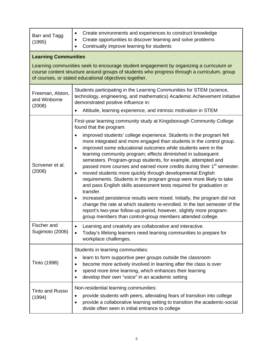| Barr and Tagg<br>(1995)                                                                                                                                                                                                                          | Create environments and experiences to construct knowledge<br>$\bullet$<br>Create opportunities to discover learning and solve problems<br>Continually improve learning for students<br>$\bullet$                                                                                                                                                                                                                                                                                                                                                                                                                                                                                                                                                                                                                                                                                                                                                                                                  |
|--------------------------------------------------------------------------------------------------------------------------------------------------------------------------------------------------------------------------------------------------|----------------------------------------------------------------------------------------------------------------------------------------------------------------------------------------------------------------------------------------------------------------------------------------------------------------------------------------------------------------------------------------------------------------------------------------------------------------------------------------------------------------------------------------------------------------------------------------------------------------------------------------------------------------------------------------------------------------------------------------------------------------------------------------------------------------------------------------------------------------------------------------------------------------------------------------------------------------------------------------------------|
| <b>Learning Communities</b>                                                                                                                                                                                                                      |                                                                                                                                                                                                                                                                                                                                                                                                                                                                                                                                                                                                                                                                                                                                                                                                                                                                                                                                                                                                    |
| Learning communities seek to encourage student engagement by organizing a curriculum or<br>course content structure around groups of students who progress through a curriculum, group<br>of courses, or stated educational objectives together. |                                                                                                                                                                                                                                                                                                                                                                                                                                                                                                                                                                                                                                                                                                                                                                                                                                                                                                                                                                                                    |
| Freeman, Alston,<br>and Winborne<br>(2008)                                                                                                                                                                                                       | Students participating in the Learning Communities for STEM (science,<br>technology, engineering, and mathematics) Academic Achievement initiative<br>demonstrated positive influence in:                                                                                                                                                                                                                                                                                                                                                                                                                                                                                                                                                                                                                                                                                                                                                                                                          |
|                                                                                                                                                                                                                                                  | Attitude, learning experience, and intrinsic motivation in STEM                                                                                                                                                                                                                                                                                                                                                                                                                                                                                                                                                                                                                                                                                                                                                                                                                                                                                                                                    |
|                                                                                                                                                                                                                                                  | First-year learning community study at Kingsborough Community College<br>found that the program:                                                                                                                                                                                                                                                                                                                                                                                                                                                                                                                                                                                                                                                                                                                                                                                                                                                                                                   |
| Scrivener et al.<br>(2008)                                                                                                                                                                                                                       | improved students' college experience. Students in the program felt<br>$\bullet$<br>more integrated and more engaged than students in the control group.<br>improved some educational outcomes while students were in the<br>$\bullet$<br>learning community program; effects diminished in subsequent<br>semesters. Program-group students, for example, attempted and<br>passed more courses and earned more credits during their 1 <sup>st</sup> semester.<br>moved students more quickly through developmental English<br>$\bullet$<br>requirements. Students in the program group were more likely to take<br>and pass English skills assessment tests required for graduation or<br>transfer.<br>increased persistence results were mixed. Initially, the program did not<br>change the rate at which students re-enrolled. In the last semester of the<br>report's two-year follow-up period, however, slightly more program-<br>group members than control-group members attended college. |
| Fischer and<br>Sugimoto (2006)                                                                                                                                                                                                                   | Learning and creativity are collaborative and interactive.<br>Today's lifelong learners need learning communities to prepare for<br>workplace challenges.                                                                                                                                                                                                                                                                                                                                                                                                                                                                                                                                                                                                                                                                                                                                                                                                                                          |
| Tinto (1998)                                                                                                                                                                                                                                     | Students in learning communities:<br>learn to form supportive peer groups outside the classroom<br>٠<br>become more actively involved in learning after the class is over<br>$\bullet$<br>spend more time learning, which enhances their learning<br>develop their own "voice" in an academic setting                                                                                                                                                                                                                                                                                                                                                                                                                                                                                                                                                                                                                                                                                              |
| <b>Tinto and Russo</b><br>(1994)                                                                                                                                                                                                                 | Non-residential learning communities:<br>provide students with peers, alleviating fears of transition into college<br>$\bullet$<br>provide a collaborative learning setting to transition the academic-social<br>divide often seen in initial entrance to college                                                                                                                                                                                                                                                                                                                                                                                                                                                                                                                                                                                                                                                                                                                                  |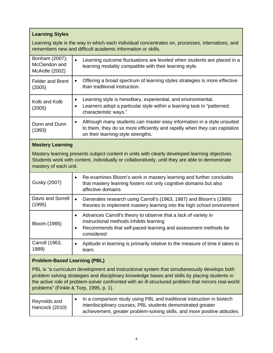#### **Learning Styles**

Learning style is the way in which each individual concentrates on, processes, internalizes, and remembers new and difficult academic information or skills.

| Bonham (2007);<br>McClendon and<br><b>McArdle (2002)</b>                                                                                                                                                                                                                                                                                      | Learning outcome fluctuations are leveled when students are placed in a<br>$\bullet$<br>learning modality compatible with their learning style.                                                                                  |
|-----------------------------------------------------------------------------------------------------------------------------------------------------------------------------------------------------------------------------------------------------------------------------------------------------------------------------------------------|----------------------------------------------------------------------------------------------------------------------------------------------------------------------------------------------------------------------------------|
| <b>Felder and Brent</b><br>(2005)                                                                                                                                                                                                                                                                                                             | Offering a broad spectrum of learning styles strategies is more effective<br>$\bullet$<br>than traditional instruction.                                                                                                          |
| Kolb and Kolb<br>(2005)                                                                                                                                                                                                                                                                                                                       | Learning style is hereditary, experiential, and environmental.<br>٠<br>Learners adopt a particular style within a learning task in "patterned,<br>$\bullet$<br>characteristic ways."                                             |
| Dunn and Dunn<br>(1993)                                                                                                                                                                                                                                                                                                                       | Although many students can master easy information in a style unsuited<br>$\bullet$<br>to them, they do so more efficiently and rapidly when they can capitalize<br>on their learning-style strengths.                           |
| <b>Mastery Learning</b>                                                                                                                                                                                                                                                                                                                       |                                                                                                                                                                                                                                  |
| Mastery learning presents subject content in units with clearly developed learning objectives.<br>Students work with content, individually or collaboratively, until they are able to demonstrate<br>mastery of each unit.                                                                                                                    |                                                                                                                                                                                                                                  |
| Gusky (2007)                                                                                                                                                                                                                                                                                                                                  | Re-examines Bloom's work in mastery learning and further concludes<br>$\bullet$<br>that mastery learning fosters not only cognitive domains but also<br>affective domains                                                        |
| Davis and Sorrell<br>(1995)                                                                                                                                                                                                                                                                                                                   | Generates research using Carroll's (1963, 1987) and Bloom's (1989)<br>$\bullet$<br>theories to implement mastery learning into the high school environment                                                                       |
| Bloom (1985)                                                                                                                                                                                                                                                                                                                                  | Advances Carroll's theory to observe that a lack of variety in<br>$\bullet$<br>instructional methods inhibits learning<br>Recommends that self-paced learning and assessment methods be<br>$\bullet$<br>considered               |
| Carroll (1963,<br>1989)                                                                                                                                                                                                                                                                                                                       | Aptitude in learning is primarily relative to the measure of time it takes to<br>$\bullet$<br>learn.                                                                                                                             |
| <b>Problem-Based Learning (PBL)</b>                                                                                                                                                                                                                                                                                                           |                                                                                                                                                                                                                                  |
| PBL is "a curriculum development and instructional system that simultaneously develops both<br>problem solving strategies and disciplinary knowledge bases and skills by placing students in<br>the active role of problem-solver confronted with an ill-structured problem that mirrors real-world<br>problems" (Finkle & Torp, 1995, p. 1). |                                                                                                                                                                                                                                  |
| Reynolds and<br>Hancock (2010)                                                                                                                                                                                                                                                                                                                | In a comparison study using PBL and traditional instruction in biotech<br>$\bullet$<br>interdisciplinary courses, PBL students demonstrated greater<br>achievement, greater problem-solving skills, and more positive attitudes. |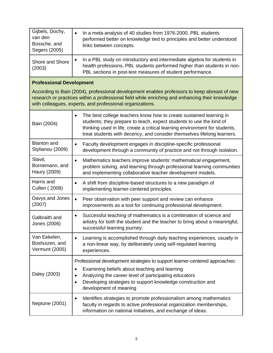| Gijbels, Dochy,<br>van den<br>Bossche, and<br>Segers (2005)                                                                                                                                                                                                  | In a meta-analysis of 40 studies from 1976-2000, PBL students<br>performed better on knowledge tied to principles and better understood<br>links between concepts.                                                                                                                                               |
|--------------------------------------------------------------------------------------------------------------------------------------------------------------------------------------------------------------------------------------------------------------|------------------------------------------------------------------------------------------------------------------------------------------------------------------------------------------------------------------------------------------------------------------------------------------------------------------|
| Shore and Shore<br>(2003)                                                                                                                                                                                                                                    | In a PBL study on introductory and intermediate algebra for students in<br>٠<br>health professions, PBL students performed higher than students in non-<br>PBL sections in post-test measures of student performance.                                                                                            |
| <b>Professional Development</b>                                                                                                                                                                                                                              |                                                                                                                                                                                                                                                                                                                  |
| According to Bain (2004), professional development enables professors to keep abreast of new<br>research or practices within a professional field while enriching and enhancing their knowledge<br>with colleagues, experts, and professional organizations. |                                                                                                                                                                                                                                                                                                                  |
| Bain (2004)                                                                                                                                                                                                                                                  | The best college teachers know how to create sustained learning in<br>$\bullet$<br>students; they prepare to teach, expect students to use the kind of<br>thinking used in life, create a critical learning environment for students,<br>treat students with decency, and consider themselves lifelong learners. |
| <b>Blanton and</b><br>Stylianou (2009)                                                                                                                                                                                                                       | Faculty development engages in discipline-specific professional<br>$\bullet$<br>development through a community of practice and not through isolation.                                                                                                                                                           |
| Slavit,<br>Bornemann, and<br>Haury (2009)                                                                                                                                                                                                                    | Mathematics teachers improve students' mathematical engagement,<br>$\bullet$<br>problem solving, and learning through professional learning communities<br>and implementing collaborative teacher development models.                                                                                            |
| Harris and<br><b>Cullen (2008)</b>                                                                                                                                                                                                                           | A shift from discipline-based structures to a new paradigm of<br>$\bullet$<br>implementing learner-centered principles.                                                                                                                                                                                          |
| Davys and Jones<br>(2007)                                                                                                                                                                                                                                    | Peer observation with peer support and review can enhance<br>$\bullet$<br>improvements as a tool for continuing professional development.                                                                                                                                                                        |
| Galbraith and<br>Jones (2006)                                                                                                                                                                                                                                | Successful teaching of mathematics is a combination of science and<br>٠<br>artistry for both the student and the teacher to bring about a meaningful,<br>successful learning journey.                                                                                                                            |
| Van Eekelen,<br>Boshuizen, and<br>Vermunt (2005)                                                                                                                                                                                                             | Learning is accomplished through daily teaching experiences, usually in<br>$\bullet$<br>a non-linear way, by deliberately using self-regulated learning<br>experiences.                                                                                                                                          |
|                                                                                                                                                                                                                                                              | Professional development strategies to support learner-centered approaches:                                                                                                                                                                                                                                      |
| Daley (2003)                                                                                                                                                                                                                                                 | Examining beliefs about teaching and learning<br>Analyzing the career level of participating educators<br>$\bullet$<br>Developing strategies to support knowledge construction and<br>$\bullet$<br>development of meaning                                                                                        |
| <b>Neptune (2001)</b>                                                                                                                                                                                                                                        | Identifies strategies to promote professionalism among mathematics<br>٠<br>faculty in regards to active professional organization memberships,<br>information on national initiatives, and exchange of ideas.                                                                                                    |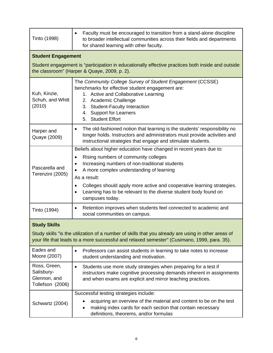| Tinto (1998)                                                                                                                                                                                       | Faculty must be encouraged to transition from a stand-alone discipline<br>$\bullet$<br>to broader intellectual communities across their fields and departments<br>for shared learning with other faculty.                                                                                                                                                                                                                         |
|----------------------------------------------------------------------------------------------------------------------------------------------------------------------------------------------------|-----------------------------------------------------------------------------------------------------------------------------------------------------------------------------------------------------------------------------------------------------------------------------------------------------------------------------------------------------------------------------------------------------------------------------------|
| <b>Student Engagement</b>                                                                                                                                                                          |                                                                                                                                                                                                                                                                                                                                                                                                                                   |
| Student engagement is "participation in educationally effective practices both inside and outside<br>the classroom" (Harper & Quaye, 2009, p. 2).                                                  |                                                                                                                                                                                                                                                                                                                                                                                                                                   |
| Kuh, Kinzie,<br>Schuh, and Whitt<br>(2010)                                                                                                                                                         | The Community College Survey of Student Engagement (CCSSE)<br>benchmarks for effective student engagement are:<br>1. Active and Collaborative Learning<br>2. Academic Challenge<br>3. Student-Faculty Interaction<br>4. Support for Learners<br>5. Student Effort                                                                                                                                                                 |
| Harper and<br>Quaye (2009)                                                                                                                                                                         | The old-fashioned notion that learning is the students' responsibility no<br>$\bullet$<br>longer holds. Instructors and administrators must provide activities and<br>instructional strategies that engage and stimulate students.                                                                                                                                                                                                |
| Pascarella and<br>Terenzini (2005)                                                                                                                                                                 | Beliefs about higher education have changed in recent years due to:<br>Rising numbers of community colleges<br>$\bullet$<br>Increasing numbers of non-traditional students<br>$\bullet$<br>A more complex understanding of learning<br>As a result:<br>Colleges should apply more active and cooperative learning strategies.<br>$\bullet$<br>Learning has to be relevant to the diverse student body found on<br>campuses today. |
| Tinto (1994)                                                                                                                                                                                       | Retention improves when students feel connected to academic and<br>$\bullet$<br>social communities on campus.                                                                                                                                                                                                                                                                                                                     |
| <b>Study Skills</b>                                                                                                                                                                                |                                                                                                                                                                                                                                                                                                                                                                                                                                   |
| Study skills "is the utilization of a number of skills that you already are using in other areas of<br>your life that leads to a more successful and relaxed semester" (Cusimano, 1999, para. 35). |                                                                                                                                                                                                                                                                                                                                                                                                                                   |
| Eades and<br>Moore (2007)                                                                                                                                                                          | Professors can assist students in learning to take notes to increase<br>$\bullet$<br>student understanding and motivation.                                                                                                                                                                                                                                                                                                        |
| Ross, Green,<br>Salisbury-<br>Glennon, and<br>Tollefson (2006)                                                                                                                                     | Students use more study strategies when preparing for a test if<br>$\bullet$<br>instructors make cognitive processing demands inherent in assignments<br>and when exams are explicit and mirror teaching practices.                                                                                                                                                                                                               |
| Schwartz (2004)                                                                                                                                                                                    | Successful testing strategies include:<br>acquiring an overview of the material and content to be on the test<br>making index cards for each section that contain necessary<br>definitions, theorems, and/or formulas                                                                                                                                                                                                             |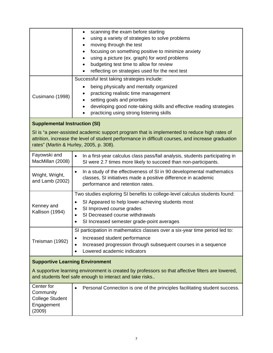|                                                                                                                                                                                                                                              | scanning the exam before starting<br>using a variety of strategies to solve problems<br>moving through the test<br>focusing on something positive to minimize anxiety<br>using a picture (ex. graph) for word problems<br>budgeting test time to allow for review<br>reflecting on strategies used for the next test |
|----------------------------------------------------------------------------------------------------------------------------------------------------------------------------------------------------------------------------------------------|----------------------------------------------------------------------------------------------------------------------------------------------------------------------------------------------------------------------------------------------------------------------------------------------------------------------|
| Cusimano (1998)                                                                                                                                                                                                                              | Successful test taking strategies include:<br>being physically and mentally organized<br>practicing realistic time management<br>setting goals and priorities<br>developing good note-taking skills and effective reading strategies<br>practicing using strong listening skills                                     |
| <b>Supplemental Instruction (SI)</b>                                                                                                                                                                                                         |                                                                                                                                                                                                                                                                                                                      |
| SI is "a peer-assisted academic support program that is implemented to reduce high rates of<br>attrition, increase the level of student performance in difficult courses, and increase graduation<br>rates" (Martin & Hurley, 2005, p. 308). |                                                                                                                                                                                                                                                                                                                      |
| Fayowski and<br>MacMillan (2008)                                                                                                                                                                                                             | In a first-year calculus class pass/fail analysis, students participating in<br>SI were 2.7 times more likely to succeed than non-participants.                                                                                                                                                                      |
| Wright, Wright,<br>and Lamb (2002)                                                                                                                                                                                                           | In a study of the effectiveness of SI in 90 developmental mathematics<br>$\bullet$<br>classes, SI initiatives made a positive difference in academic<br>performance and retention rates.                                                                                                                             |
| Kenney and<br>Kallison (1994)                                                                                                                                                                                                                | Two studies exploring SI benefits to college-level calculus students found:<br>SI Appeared to help lower-achieving students most<br>$\bullet$<br>SI Improved course grades<br>$\bullet$<br>SI Decreased course withdrawals<br>SI Increased semester grade-point averages<br>٠                                        |
| Treisman (1992)                                                                                                                                                                                                                              | SI participation in mathematics classes over a six-year time period led to:<br>Increased student performance<br>Increased progression through subsequent courses in a sequence<br>Lowered academic indicators                                                                                                        |
| <b>Supportive Learning Environment</b>                                                                                                                                                                                                       |                                                                                                                                                                                                                                                                                                                      |
| A supportive learning environment is created by professors so that affective filters are lowered,<br>and students feel safe enough to interact and take risks                                                                                |                                                                                                                                                                                                                                                                                                                      |
| Center for<br>Community<br><b>College Student</b><br>Engagement<br>(2009)                                                                                                                                                                    | Personal Connection is one of the principles facilitating student success.<br>$\bullet$                                                                                                                                                                                                                              |